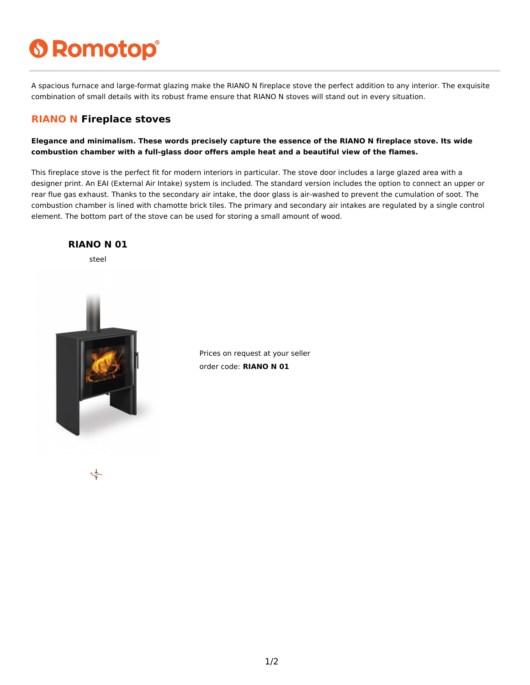# **6 Romotop®**

A spacious furnace and large-format glazing make the RIANO N fireplace stove the perfect addition to any interior. The exquisite combination of small details with its robust frame ensure that RIANO N stoves will stand out in every situation.

#### **RIANO N Fireplace stoves**

**Elegance and minimalism. These words precisely capture the essence of the RIANO N fireplace stove. Its wide combustion chamber with a full-glass door offers ample heat and a beautiful view of the flames.**

This fireplace stove is the perfect fit for modern interiors in particular. The stove door includes a large glazed area with a designer print. An EAI (External Air Intake) system is included. The standard version includes the option to connect an upper or rear flue gas exhaust. Thanks to the secondary air intake, the door glass is air-washed to prevent the cumulation of soot. The combustion chamber is lined with chamotte brick tiles. The primary and secondary air intakes are regulated by a single control element. The bottom part of the stove can be used for storing a small amount of wood.



Prices on request at your seller order code: **RIANO N 01**